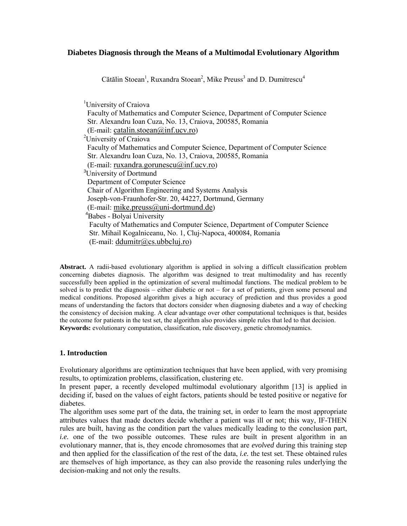# **Diabetes Diagnosis through the Means of a Multimodal Evolutionary Algorithm**

Cătălin Stoean<sup>1</sup>, Ruxandra Stoean<sup>2</sup>, Mike Preuss<sup>3</sup> and D. Dumitrescu<sup>4</sup>

 <sup>1</sup> University of Craiova Faculty of Mathematics and Computer Science, Department of Computer Science Str. Alexandru Ioan Cuza, No. 13, Craiova, 200585, Romania  $(E-mail: catalin.stoean@inf.ucv-ro)$ <sup>2</sup>University of Craiova Faculty of Mathematics and Computer Science, Department of Computer Science Str. Alexandru Ioan Cuza, No. 13, Craiova, 200585, Romania (E-mail: ruxandra.gorunescu@inf.ucv.ro) <sup>3</sup> <sup>3</sup>University of Dortmund Department of Computer Science Chair of Algorithm Engineering and Systems Analysis Joseph-von-Fraunhofer-Str. 20, 44227, Dortmund, Germany (E-mail: mike.preuss@uni-dortmund.de) 4 Babes - Bolyai University Faculty of Mathematics and Computer Science, Department of Computer Science Str. Mihail Kogalniceanu, No. 1, Cluj-Napoca, 400084, Romania (E-mail: ddumitr@cs.ubbcluj.ro)

**Abstract.** A radii-based evolutionary algorithm is applied in solving a difficult classification problem concerning diabetes diagnosis. The algorithm was designed to treat multimodality and has recently successfully been applied in the optimization of several multimodal functions. The medical problem to be solved is to predict the diagnosis – either diabetic or not – for a set of patients, given some personal and medical conditions. Proposed algorithm gives a high accuracy of prediction and thus provides a good means of understanding the factors that doctors consider when diagnosing diabetes and a way of checking the consistency of decision making. A clear advantage over other computational techniques is that, besides the outcome for patients in the test set, the algorithm also provides simple rules that led to that decision. **Keywords:** evolutionary computation, classification, rule discovery, genetic chromodynamics.

#### **1. Introduction**

Evolutionary algorithms are optimization techniques that have been applied, with very promising results, to optimization problems, classification, clustering etc.

In present paper, a recently developed multimodal evolutionary algorithm [13] is applied in deciding if, based on the values of eight factors, patients should be tested positive or negative for diabetes.

The algorithm uses some part of the data, the training set, in order to learn the most appropriate attributes values that made doctors decide whether a patient was ill or not; this way, IF-THEN rules are built, having as the condition part the values medically leading to the conclusion part, *i.e.* one of the two possible outcomes. These rules are built in present algorithm in an evolutionary manner, that is, they encode chromosomes that are *evolved* during this training step and then applied for the classification of the rest of the data, *i.e.* the test set. These obtained rules are themselves of high importance, as they can also provide the reasoning rules underlying the decision-making and not only the results.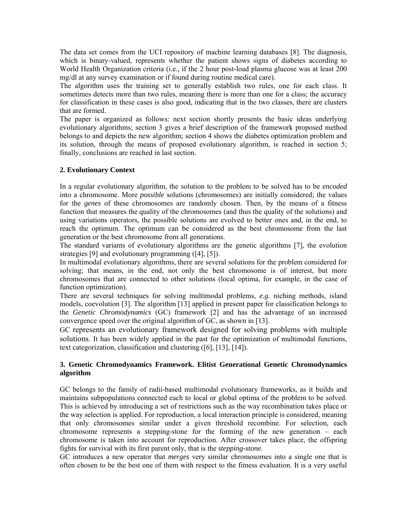The data set comes from the UCI repository of machine learning databases [8]. The diagnosis, which is binary-valued, represents whether the patient shows signs of diabetes according to World Health Organization criteria (i.e., if the 2 hour post-load plasma glucose was at least 200 mg/dl at any survey examination or if found during routine medical care).

The algorithm uses the training set to generally establish two rules, one for each class. It sometimes detects more than two rules, meaning there is more than one for a class; the accuracy for classification in these cases is also good, indicating that in the two classes, there are clusters that are formed.

The paper is organized as follows: next section shortly presents the basic ideas underlying evolutionary algorithms; section 3 gives a brief description of the framework proposed method belongs to and depicts the new algorithm; section 4 shows the diabetes optimization problem and its solution, through the means of proposed evolutionary algorithm, is reached in section 5; finally, conclusions are reached in last section.

# **2. Evolutionary Context**

In a regular evolutionary algorithm, the solution to the problem to be solved has to be *encoded* into a chromosome. More *possible* solutions (chromosomes) are initially considered; the values for the *genes* of these chromosomes are randomly chosen. Then, by the means of a fitness function that measures the quality of the chromosomes (and thus the quality of the solutions) and using variations operators, the possible solutions are evolved to better ones and, in the end, to reach the optimum. The optimum can be considered as the best chromosome from the last generation or the best chromosome from all generations.

The standard variants of evolutionary algorithms are the genetic algorithms [7], the evolution strategies [9] and evolutionary programming ([4], [5]).

In multimodal evolutionary algorithms, there are several solutions for the problem considered for solving; that means, in the end, not only the best chromosome is of interest, but more chromosomes that are connected to other solutions (local optima, for example, in the case of function optimization).

There are several techniques for solving multimodal problems, *e.g.* niching methods, island models, coevolution [3]. The algorithm [13] applied in present paper for classification belongs to the *Genetic Chromodynamics* (GC) framework [2] and has the advantage of an increased convergence speed over the original algorithm of GC, as shown in [13].

GC represents an evolutionary framework designed for solving problems with multiple solutions. It has been widely applied in the past for the optimization of multimodal functions, text categorization, classification and clustering ([6], [13], [14]).

# **3. Genetic Chromodynamics Framework. Elitist Generational Genetic Chromodynamics algorithm**

GC belongs to the family of radii-based multimodal evolutionary frameworks, as it builds and maintains subpopulations connected each to local or global optima of the problem to be solved. This is achieved by introducing a set of restrictions such as the way recombination takes place or the way selection is applied. For reproduction, a local interaction principle is considered, meaning that only chromosomes similar under a given threshold recombine. For selection, each chromosome represents a stepping-stone for the forming of the new generation – each chromosome is taken into account for reproduction. After crossover takes place, the offspring fights for survival with its first parent only, that is the *stepping-stone*.

GC introduces a new operator that *merges* very similar chromosomes into a single one that is often chosen to be the best one of them with respect to the fitness evaluation. It is a very useful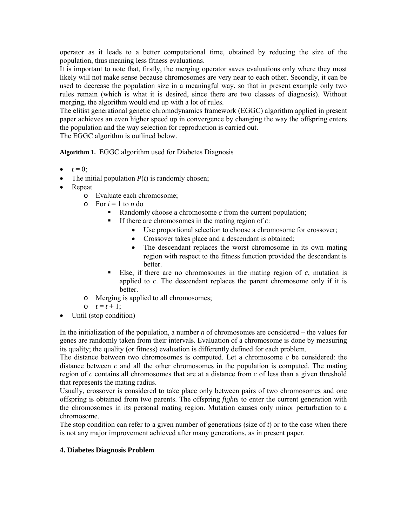operator as it leads to a better computational time, obtained by reducing the size of the population, thus meaning less fitness evaluations.

It is important to note that, firstly, the merging operator saves evaluations only where they most likely will not make sense because chromosomes are very near to each other. Secondly, it can be used to decrease the population size in a meaningful way, so that in present example only two rules remain (which is what it is desired, since there are two classes of diagnosis). Without merging, the algorithm would end up with a lot of rules.

The elitist generational genetic chromodynamics framework (EGGC) algorithm applied in present paper achieves an even higher speed up in convergence by changing the way the offspring enters the population and the way selection for reproduction is carried out.

The EGGC algorithm is outlined below.

**Algorithm 1.** EGGC algorithm used for Diabetes Diagnosis

- $t = 0$ ;
- The initial population  $P(t)$  is randomly chosen;
- Repeat
	- o Evaluate each chromosome;
	- $\circ$  For  $i = 1$  to *n* do
		- Randomly choose a chromosome *c* from the current population;
		- If there are chromosomes in the mating region of  $c$ :
			- Use proportional selection to choose a chromosome for crossover;
			- Crossover takes place and a descendant is obtained;
			- The descendant replaces the worst chromosome in its own mating region with respect to the fitness function provided the descendant is better.
		- Else, if there are no chromosomes in the mating region of *c*, mutation is applied to *c*. The descendant replaces the parent chromosome only if it is better.
	- o Merging is applied to all chromosomes;
	- $0 \quad t = t + 1;$
- Until (stop condition)

In the initialization of the population, a number *n* of chromosomes are considered – the values for genes are randomly taken from their intervals. Evaluation of a chromosome is done by measuring its quality; the quality (or fitness) evaluation is differently defined for each problem.

The distance between two chromosomes is computed. Let a chromosome *c* be considered: the distance between  $c$  and all the other chromosomes in the population is computed. The mating region of *c* contains all chromosomes that are at a distance from *c* of less than a given threshold that represents the mating radius.

Usually, crossover is considered to take place only between pairs of two chromosomes and one offspring is obtained from two parents. The offspring *fights* to enter the current generation with the chromosomes in its personal mating region. Mutation causes only minor perturbation to a chromosome.

The stop condition can refer to a given number of generations (size of *t*) or to the case when there is not any major improvement achieved after many generations, as in present paper.

## **4. Diabetes Diagnosis Problem**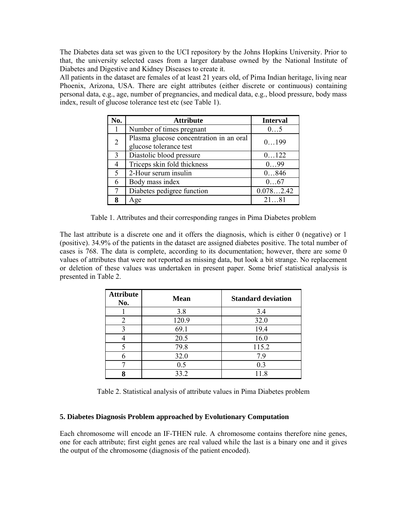The Diabetes data set was given to the UCI repository by the Johns Hopkins University. Prior to that, the university selected cases from a larger database owned by the National Institute of Diabetes and Digestive and Kidney Diseases to create it.

All patients in the dataset are females of at least 21 years old, of Pima Indian heritage, living near Phoenix, Arizona, USA. There are eight attributes (either discrete or continuous) containing personal data, e.g., age, number of pregnancies, and medical data, e.g., blood pressure, body mass index, result of glucose tolerance test etc (see Table 1).

| No. | <b>Attribute</b>                                                  | <b>Interval</b> |
|-----|-------------------------------------------------------------------|-----------------|
|     | Number of times pregnant                                          | 05              |
| 2   | Plasma glucose concentration in an oral<br>glucose tolerance test | 0.199           |
| 3   | Diastolic blood pressure                                          | 0122            |
| 4   | Triceps skin fold thickness                                       | 099             |
| 5   | 2-Hour serum insulin                                              | 0846            |
| 6   | Body mass index                                                   | 067             |
| 7   | Diabetes pedigree function                                        | 0.0782.42       |
| 8   | Age                                                               | 2181            |

Table 1. Attributes and their corresponding ranges in Pima Diabetes problem

The last attribute is a discrete one and it offers the diagnosis, which is either 0 (negative) or 1 (positive). 34.9% of the patients in the dataset are assigned diabetes positive. The total number of cases is 768. The data is complete, according to its documentation; however, there are some 0 values of attributes that were not reported as missing data, but look a bit strange. No replacement or deletion of these values was undertaken in present paper. Some brief statistical analysis is presented in Table 2.

| <b>Attribute</b><br>No. | <b>Mean</b> | <b>Standard deviation</b> |
|-------------------------|-------------|---------------------------|
|                         | 3.8         | 3.4                       |
| 2                       | 120.9       | 32.0                      |
|                         | 69.1        | 19.4                      |
|                         | 20.5        | 16.0                      |
|                         | 79.8        | 115.2                     |
|                         | 32.0        | 7.9                       |
|                         | 0.5         | 0.3                       |
|                         | 33.2        | 118                       |

Table 2. Statistical analysis of attribute values in Pima Diabetes problem

## **5. Diabetes Diagnosis Problem approached by Evolutionary Computation**

Each chromosome will encode an IF-THEN rule. A chromosome contains therefore nine genes, one for each attribute; first eight genes are real valued while the last is a binary one and it gives the output of the chromosome (diagnosis of the patient encoded).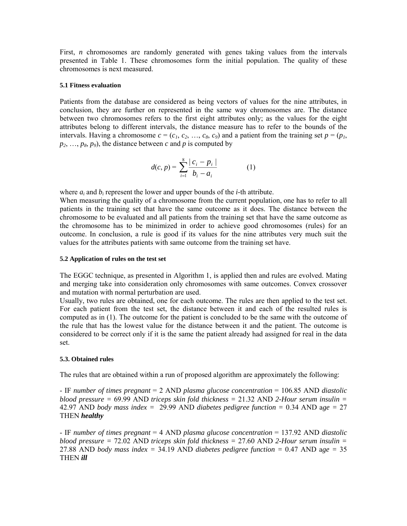First, *n* chromosomes are randomly generated with genes taking values from the intervals presented in Table 1. These chromosomes form the initial population. The quality of these chromosomes is next measured.

#### **5.1 Fitness evaluation**

Patients from the database are considered as being vectors of values for the nine attributes, in conclusion, they are further on represented in the same way chromosomes are. The distance between two chromosomes refers to the first eight attributes only; as the values for the eight attributes belong to different intervals, the distance measure has to refer to the bounds of the intervals. Having a chromosome  $c = (c_1, c_2, ..., c_8, c_9)$  and a patient from the training set  $p = (p_1,$  $p_2, \ldots, p_8, p_9$ , the distance between *c* and *p* is computed by

$$
d(c, p) = \sum_{i=1}^{8} \frac{|c_i - p_i|}{b_i - a_i}
$$
 (1)

where  $a_i$  and  $b_i$  represent the lower and upper bounds of the *i*-th attribute.

When measuring the quality of a chromosome from the current population, one has to refer to all patients in the training set that have the same outcome as it does. The distance between the chromosome to be evaluated and all patients from the training set that have the same outcome as the chromosome has to be minimized in order to achieve good chromosomes (rules) for an outcome. In conclusion, a rule is good if its values for the nine attributes very much suit the values for the attributes patients with same outcome from the training set have.

### **5.2 Application of rules on the test set**

The EGGC technique, as presented in Algorithm 1, is applied then and rules are evolved. Mating and merging take into consideration only chromosomes with same outcomes. Convex crossover and mutation with normal perturbation are used.

Usually, two rules are obtained, one for each outcome. The rules are then applied to the test set. For each patient from the test set, the distance between it and each of the resulted rules is computed as in (1). The outcome for the patient is concluded to be the same with the outcome of the rule that has the lowest value for the distance between it and the patient. The outcome is considered to be correct only if it is the same the patient already had assigned for real in the data set.

## **5.3. Obtained rules**

The rules that are obtained within a run of proposed algorithm are approximately the following:

- IF *number of times pregnant* = 2 AND *plasma glucose concentration* = 106.85 AND *diastolic blood pressure =* 69.99 AND *triceps skin fold thickness =* 21.32 AND *2-Hour serum insulin =*  42.97 AND *body mass index =* 29.99 AND *diabetes pedigree function =* 0.34 AND a*ge =* 27 THEN *healthy*

- IF *number of times pregnant* = 4 AND *plasma glucose concentration* = 137.92 AND *diastolic blood pressure =* 72.02 AND *triceps skin fold thickness =* 27.60 AND *2-Hour serum insulin =*  27.88 AND *body mass index =* 34.19 AND *diabetes pedigree function =* 0.47 AND a*ge =* 35 THEN *ill*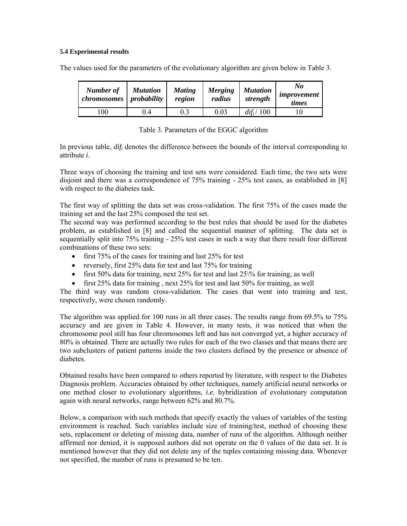### **5.4 Experimental results**

The values used for the parameters of the evolutionary algorithm are given below in Table 3.

| Number of<br>chromosomes | <b>Mutation</b><br>probability | <b>Mating</b><br>region | <b>Merging</b><br>radius | <b>Mutation</b><br>strength | No<br>improvement<br>times |
|--------------------------|--------------------------------|-------------------------|--------------------------|-----------------------------|----------------------------|
| 100                      | 7.4                            | 0.3                     | 0.03                     | $di\ddot{t}_i/100$          |                            |

|  | Table 3. Parameters of the EGGC algorithm |  |  |  |
|--|-------------------------------------------|--|--|--|
|--|-------------------------------------------|--|--|--|

In previous table, *difi* denotes the difference between the bounds of the interval corresponding to attribute *i*.

Three ways of choosing the training and test sets were considered. Each time, the two sets were disjoint and there was a correspondence of 75% training - 25% test cases, as established in [8] with respect to the diabetes task.

The first way of splitting the data set was cross-validation. The first 75% of the cases made the training set and the last 25% composed the test set.

The second way was performed according to the best rules that should be used for the diabetes problem, as established in [8] and called the sequential manner of splitting. The data set is sequentially split into 75% training - 25% test cases in such a way that there result four different combinations of these two sets:

- first 75% of the cases for training and last 25% for test
- reversely, first 25% data for test and last 75% for training
- first 50% data for training, next 25% for test and last  $25\%$  for training, as well
- first 25% data for training , next 25% for test and last 50% for training, as well

The third way was random cross-validation. The cases that went into training and test, respectively, were chosen randomly.

The algorithm was applied for 100 runs in all three cases. The results range from 69.5% to 75% accuracy and are given in Table 4. However, in many tests, it was noticed that when the chromosome pool still has four chromosomes left and has not converged yet, a higher accuracy of 80% is obtained. There are actually two rules for each of the two classes and that means there are two subclusters of patient patterns inside the two clusters defined by the presence or absence of diabetes.

Obtained results have been compared to others reported by literature, with respect to the Diabetes Diagnosis problem. Accuracies obtained by other techniques, namely artificial neural networks or one method closer to evolutionary algorithms, *i.e.* hybridization of evolutionary computation again with neural networks, range between 62% and 80.7%.

Below, a comparison with such methods that specify exactly the values of variables of the testing environment is reached. Such variables include size of training/test, method of choosing these sets, replacement or deleting of missing data, number of runs of the algorithm. Although neither affirmed nor denied, it is supposed authors did not operate on the 0 values of the data set. It is mentioned however that they did not delete any of the tuples containing missing data. Whenever not specified, the number of runs is presumed to be ten.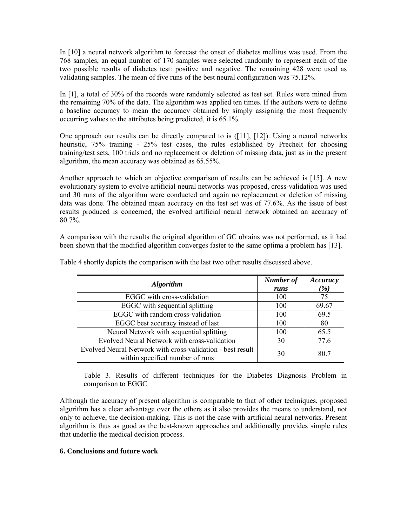In [10] a neural network algorithm to forecast the onset of diabetes mellitus was used. From the 768 samples, an equal number of 170 samples were selected randomly to represent each of the two possible results of diabetes test: positive and negative. The remaining 428 were used as validating samples. The mean of five runs of the best neural configuration was 75.12%.

In [1], a total of 30% of the records were randomly selected as test set. Rules were mined from the remaining 70% of the data. The algorithm was applied ten times. If the authors were to define a baseline accuracy to mean the accuracy obtained by simply assigning the most frequently occurring values to the attributes being predicted, it is 65.1%.

One approach our results can be directly compared to is ([11], [12]). Using a neural networks heuristic, 75% training - 25% test cases, the rules established by Prechelt for choosing training/test sets, 100 trials and no replacement or deletion of missing data, just as in the present algorithm, the mean accuracy was obtained as 65.55%.

Another approach to which an objective comparison of results can be achieved is [15]. A new evolutionary system to evolve artificial neural networks was proposed, cross-validation was used and 30 runs of the algorithm were conducted and again no replacement or deletion of missing data was done. The obtained mean accuracy on the test set was of 77.6%. As the issue of best results produced is concerned, the evolved artificial neural network obtained an accuracy of 80.7%.

A comparison with the results the original algorithm of GC obtains was not performed, as it had been shown that the modified algorithm converges faster to the same optima a problem has [13].

| <b>Algorithm</b>                                           | Number of | Accuracy        |
|------------------------------------------------------------|-----------|-----------------|
|                                                            | runs      | $\frac{\%}{\%}$ |
| EGGC with cross-validation                                 | 100       | 75              |
| EGGC with sequential splitting                             | 100       | 69.67           |
| EGGC with random cross-validation                          | 100       | 69.5            |
| EGGC best accuracy instead of last                         | 100       | 80              |
| Neural Network with sequential splitting                   | 100       | 65.5            |
| Evolved Neural Network with cross-validation               | 30        | 77.6            |
| Evolved Neural Network with cross-validation - best result | 30        | 80.7            |
| within specified number of runs                            |           |                 |

Table 4 shortly depicts the comparison with the last two other results discussed above.

Table 3. Results of different techniques for the Diabetes Diagnosis Problem in comparison to EGGC

Although the accuracy of present algorithm is comparable to that of other techniques, proposed algorithm has a clear advantage over the others as it also provides the means to understand, not only to achieve, the decision-making. This is not the case with artificial neural networks. Present algorithm is thus as good as the best-known approaches and additionally provides simple rules that underlie the medical decision process.

## **6. Conclusions and future work**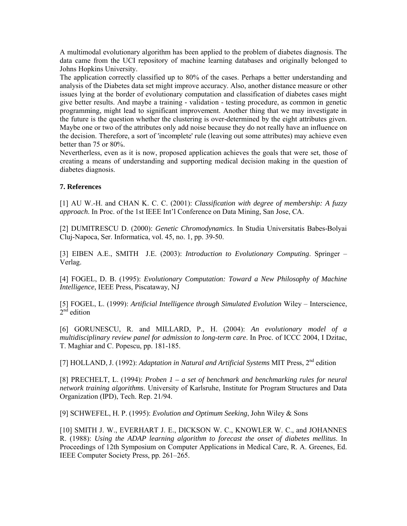A multimodal evolutionary algorithm has been applied to the problem of diabetes diagnosis. The data came from the UCI repository of machine learning databases and originally belonged to Johns Hopkins University.

The application correctly classified up to 80% of the cases. Perhaps a better understanding and analysis of the Diabetes data set might improve accuracy. Also, another distance measure or other issues lying at the border of evolutionary computation and classification of diabetes cases might give better results. And maybe a training - validation - testing procedure, as common in genetic programming, might lead to significant improvement. Another thing that we may investigate in the future is the question whether the clustering is over-determined by the eight attributes given. Maybe one or two of the attributes only add noise because they do not really have an influence on the decision. Therefore, a sort of 'incomplete' rule (leaving out some attributes) may achieve even better than 75 or 80%.

Nevertherless, even as it is now, proposed application achieves the goals that were set, those of creating a means of understanding and supporting medical decision making in the question of diabetes diagnosis.

# **7. References**

[1] AU W.-H. and CHAN K. C. C. (2001): *Classification with degree of membership: A fuzzy approach*. In Proc. of the 1st IEEE Int'l Conference on Data Mining, San Jose, CA.

[2] DUMITRESCU D. (2000): *Genetic Chromodynamics*. In Studia Universitatis Babes-Bolyai Cluj-Napoca, Ser. Informatica, vol. 45, no. 1, pp. 39-50.

[3] EIBEN A.E., SMITH J.E. (2003): *Introduction to Evolutionary Computing*. Springer – Verlag.

[4] FOGEL, D. B. (1995): *Evolutionary Computation: Toward a New Philosophy of Machine Intelligence*, IEEE Press, Piscataway, NJ

[5] FOGEL, L. (1999): *Artificial Intelligence through Simulated Evolution* Wiley – Interscience,  $2<sup>nd</sup>$  edition

[6] GORUNESCU, R. and MILLARD, P., H. (2004): *An evolutionary model of a multidisciplinary review panel for admission to long-term care*. In Proc. of ICCC 2004, I Dzitac, T. Maghiar and C. Popescu, pp. 181-185.

[7] HOLLAND, J. (1992): *Adaptation in Natural and Artificial Systems* MIT Press, 2<sup>nd</sup> edition

[8] PRECHELT, L. (1994): *Proben 1 – a set of benchmark and benchmarking rules for neural network training algorithms*. University of Karlsruhe, Institute for Program Structures and Data Organization (IPD), Tech. Rep. 21/94.

[9] SCHWEFEL, H. P. (1995): *Evolution and Optimum Seeking*, John Wiley & Sons

[10] SMITH J. W., EVERHART J. E., DICKSON W. C., KNOWLER W. C., and JOHANNES R. (1988): *Using the ADAP learning algorithm to forecast the onset of diabetes mellitus*. In Proceedings of 12th Symposium on Computer Applications in Medical Care, R. A. Greenes, Ed. IEEE Computer Society Press, pp. 261–265.